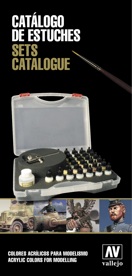# CATALOGO DE ESTUCHES **SETS** CATALOGUE



COLORES ACRÍLICOS PARA MODELISMO ACRYLIC COLORS FOR MODELLING

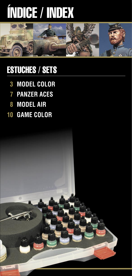# ÍNDICE / INDEX



# ESTUCHES / SETS

- **MODEL COLOR**
- **PANZER ACES**
- **MODEL AIR**
- **GAME COLOR GAME**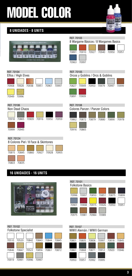

### **8 UNIDADES - 8 UNITS**



| REF. 70104<br>Elfos / High Elves |       |  |                   |  |       |  |
|----------------------------------|-------|--|-------------------|--|-------|--|
| 70908                            | 70928 |  | 70938 70951 70961 |  | 70997 |  |
| 70949                            | 70996 |  |                   |  |       |  |

| REF. 70103<br>8 Wargame Básicos / 8 Wargames Basics |       |  |             |       |       |  |
|-----------------------------------------------------|-------|--|-------------|-------|-------|--|
| 70891                                               | 70910 |  | 70927 70940 | 70950 | 70951 |  |
| 70963                                               | 70997 |  |             |       |       |  |

### REF. 70105

70827 70949 70950 70979 70997 70999 70891 70909 Orcos y Goblins / Orcs & Goblins

### REF. 70106

| Non Dead Chaos |       |  |                         |  |       |  |
|----------------|-------|--|-------------------------|--|-------|--|
|                |       |  |                         |  |       |  |
| 70918          |       |  | 70865 70909 70916 70950 |  | 70959 |  |
| 70999          | 70945 |  |                         |  |       |  |

# REF. 70108



### REF. 70124

| 8 Colores Piel / 8 Face & Skintones |       |  |                         |  |       |  |
|-------------------------------------|-------|--|-------------------------|--|-------|--|
|                                     |       |  |                         |  |       |  |
| 70815                               |       |  | 70845 70860 70927 70928 |  | 70955 |  |
|                                     | 70835 |  |                         |  |       |  |

### **16 UNIDADES - 16 UNITS**







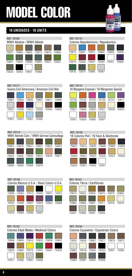MODEL OLOR  $\overline{m}$  $\overline{a}$ 

### **16 UNIDADES - 16 UNITS**



70807 70844 70845 70865 70877 70896 70907 70908 70925 70928 70940 70950

Guerra Civil Americana / American Civil War

70951 70953 70961 70990





#### REF. 70114

REF. 70111

| WWII Alemán Cam. / WWII German Camouflage |       |       |                   |       |       |  |  |
|-------------------------------------------|-------|-------|-------------------|-------|-------|--|--|
|                                           |       |       |                   |       |       |  |  |
| 70801                                     | 70816 | 70821 | 70822             | 70823 | 70824 |  |  |
|                                           |       |       |                   |       |       |  |  |
| 70825                                     | 70826 |       | 70830 70833 70835 |       | 70871 |  |  |
|                                           |       |       |                   |       |       |  |  |
| 70896                                     | 70964 | 70969 | 70979             |       |       |  |  |

# 70803 70815 70845 70846 70860 70899 70909 70921 70923 70926 70927 70928 70929 70941 70950 70951 16 Colores Piel / 16 Face & Skintones







### REF. 70144

REF. 70125

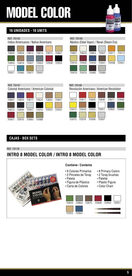

## **16 UNIDADES - 16 UNITS**



### **CAJAS - BOX SETS**

REF. 70178

# **INTRO 8 MODEL COLOR / INTRO 8 MODEL COLOR**

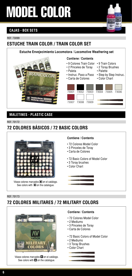

### **CAJAS - BOX SETS**

REF. 73099

# **ESTUCHE TRAIN COLOR / TRAIN COLOR SET**



### **MALETINES - PLASTIC CASE**

#### REF. 70172

# **72 COLORES BÁSICOS / 72 BASIC COLORS**



Véase colores marcados en el catálogo. See colors with  $\blacksquare$  on the catalogue.

#### **Contiene / Contents**

- 72 Colores Model Color
- 3 Pinceles de Toray
- Carta de Colores
- 72 Basic Colors of Model Color
- 3 Toray brushes
- Color Chart



# **72 COLORES MILITARES / 72 MILITARY COLORS**



Véase colores marcados  $\square$  en el catálogo. See colors with **but** on the catalogue.

### **Contiene / Contents**

- 72 Colores Model Color
- 2 Mediums
- 3 Pinceles de Toray
- Carta de Colores
- 72 Basic Colors of Model Color
- 2 Mediums
- 3 Toray Brushes
- Color Chart



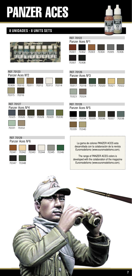# PANZER ACES

### **8 UNIDADES - 8 UNITS SETS**



#### REF. 70123 Panzer Aces Nº2



### REF. 70127



# 70325 70326 70327 70328 70329 70330





| REF. 70126      |                               |  |  |  |  |  |  |
|-----------------|-------------------------------|--|--|--|--|--|--|
| Panzer Aces Nº3 |                               |  |  |  |  |  |  |
|                 |                               |  |  |  |  |  |  |
| 70317           | 70318 70319 70320 70321 70322 |  |  |  |  |  |  |
|                 |                               |  |  |  |  |  |  |
| 70323           | 70324                         |  |  |  |  |  |  |

| REF. 70128      |       |  |                   |  |       |  |  |
|-----------------|-------|--|-------------------|--|-------|--|--|
| Panzer Aces Nº5 |       |  |                   |  |       |  |  |
|                 |       |  |                   |  |       |  |  |
|                 |       |  |                   |  |       |  |  |
| 70333           | 70334 |  | 70335 70336 70337 |  | 70338 |  |  |
|                 |       |  |                   |  |       |  |  |
|                 |       |  |                   |  |       |  |  |
| 70339           | 70340 |  |                   |  |       |  |  |

La gama de colores PANZER ACES esta desarrollada con la colaboración de la revista Euromodelismo (www.euromodelismo.com).

The range of PANZER ACES colors is developed with the colaboration of the magazine Euromodelismo (www.euromodelismo.com).

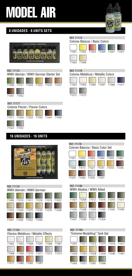# MODEL AIR

# **8 UNIDADES - 8 UNITS SETS**



#### REF. 71175

WWII Alemán / WWII German Starter Set





### **16 UNIDADES - 16 UNITS**









### REF. 71176



#### REF. 71178 Colores Básicos / Basic Color Set



# 71007 71009 71012 71014 71016 71017 REF. 71180 WWII Aliados / WWII Allied





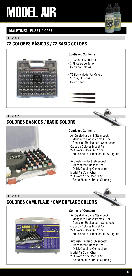# MODEL AIR



### **MALETINES - PLASTIC CASE**

REF. 71170

# **72 COLORES BÁSICOS / 72 BASIC COLORS**



#### **Contiene / Contents**

- 72 Colores Model Air
- 3 Pinceles de Toray
- Carta de Colores
- 72 Basic Model Air Colors
- 3 Toray Brushes
- Color Chart

REF. 71172

# **COLORES BÁSICOS / BASIC COLORS**



#### **Contiene / Contents**

- 
- 1 Manguera Transparente 2,5 m.
- 1 Conexión Rápida para Compresor
- Carta de Colores Model Air
- 29 Colores Model Air 17 ml.
- 1 Frasco 85 ml. Limpiador de Aerógrafo
- Airbrush Harder & Steenbeck
- 1 Transparent Hose 2,5 m.
- 1 Quick Coupling Connection
- Model Air Color Chart
- 29 Colors 17 ml. Model Air
- 1 Bottle 85 ml. Airbrush Cleaning

REF. 71173

# **COLORES CAMUFLAJE / CAMOUFLAGE COLORS** • Aerógrafo Harder & Steenbeck<br>• 1 Manguera Transparente 2,5 is<br>• 1 Conexión Rápida para Computera Carta de Colores Model Air<br>• 29 Colores Model Air 17 ml.<br>• 1 Frasco 85 ml. Limpiador de *A*<br>• Airbrush Harder & Steenbeck<br>•



#### **Contiene / Contents**

- Aerógrafo Harder & Steenbeck
- 1 Manguera Transparente 2,5 m.
- 1 Conexión Rápida para Compresor
- Carta de Colores Model Air
- 29 Colores Model Air 17 ml.
- 1 Frasco 85 ml. Limpiador de Aerógrafo
- Airbrush Harder & Steenbeck
- 1 Transparent Hose 2,5 m.
- 1 Quick Coupling Connection
- Model Air Color Chart
- 29 Colors 17 ml. Model Air
- 1 Bottle 85 ml. Airbrush Cleaning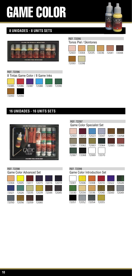# GAME COLOR



## **8 UNIDADES - 8 UNITS SETS**







### **16 UNIDADES - 16 UNITS SETS**







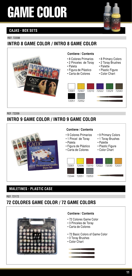# GAME COLOR



### **CAJAS - BOX SETS**

REF. 72208

# **INTRO 8 GAME COLOR / INTRO 8 GAME COLOR**



#### REF. 72209

# **INTRO 9 GAME COLOR / INTRO 9 GAME COLOR**



### **MALETINES - PLASTIC CASE**

REF. 72172

# **72 COLORES GAME COLOR / 72 GAME COLORS**



#### **Contiene / Contents**

- 72 Colores Game Color
- 3 Pinceles de Toray
- Carta de Colores
- 72 Basic Colors of Game Color
- 3 Toray Brushes
- Color Chart